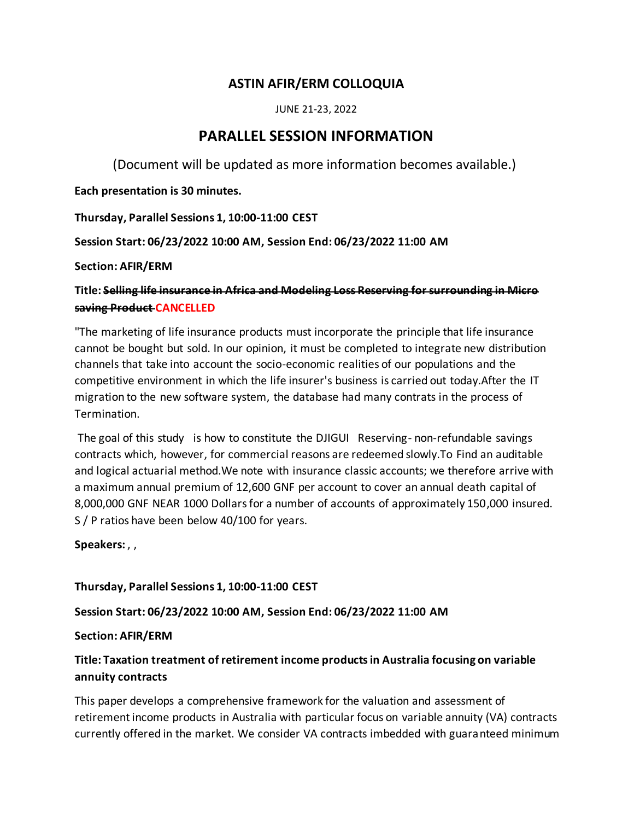# **ASTIN AFIR/ERM COLLOQUIA**

JUNE 21-23, 2022

# **PARALLEL SESSION INFORMATION**

(Document will be updated as more information becomes available.)

**Each presentation is 30 minutes.**

**Thursday, Parallel Sessions 1, 10:00-11:00 CEST**

**Session Start: 06/23/2022 10:00 AM, Session End: 06/23/2022 11:00 AM**

**Section: AFIR/ERM**

**Title: Selling life insurance in Africa and Modeling Loss Reserving for surrounding in Micro saving Product CANCELLED**

"The marketing of life insurance products must incorporate the principle that life insurance cannot be bought but sold. In our opinion, it must be completed to integrate new distribution channels that take into account the socio-economic realities of our populations and the competitive environment in which the life insurer's business is carried out today.After the IT migration to the new software system, the database had many contrats in the process of Termination.

The goal of this study is how to constitute the DJIGUI Reserving- non-refundable savings contracts which, however, for commercial reasons are redeemed slowly.To Find an auditable and logical actuarial method.We note with insurance classic accounts; we therefore arrive with a maximum annual premium of 12,600 GNF per account to cover an annual death capital of 8,000,000 GNF NEAR 1000 Dollars for a number of accounts of approximately 150,000 insured. S / P ratios have been below 40/100 for years.

**Speakers:** , ,

**Thursday, Parallel Sessions 1, 10:00-11:00 CEST**

**Session Start: 06/23/2022 10:00 AM, Session End: 06/23/2022 11:00 AM**

**Section: AFIR/ERM**

# **Title: Taxation treatment of retirement income products in Australia focusing on variable annuity contracts**

This paper develops a comprehensive framework for the valuation and assessment of retirement income products in Australia with particular focus on variable annuity (VA) contracts currently offered in the market. We consider VA contracts imbedded with guaranteed minimum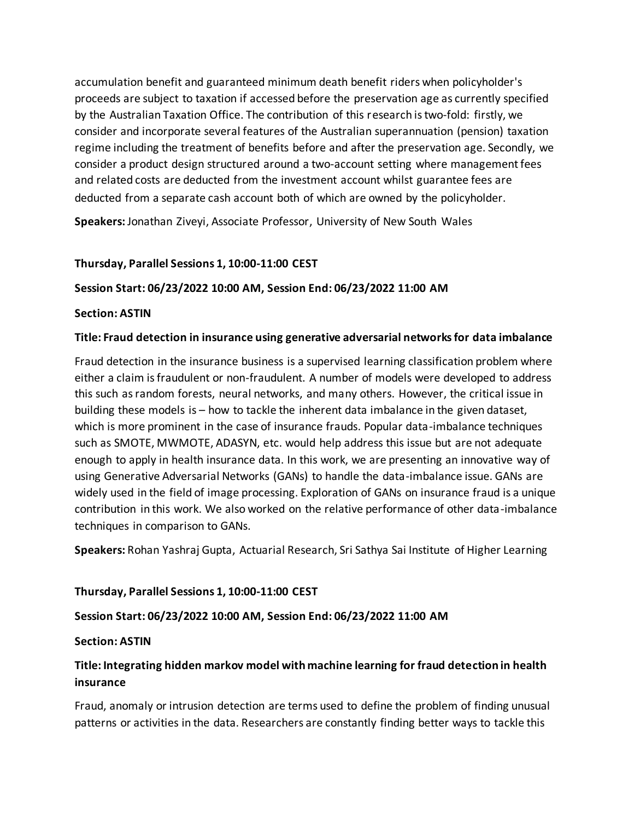accumulation benefit and guaranteed minimum death benefit riders when policyholder's proceeds are subject to taxation if accessed before the preservation age as currently specified by the Australian Taxation Office. The contribution of this research is two-fold: firstly, we consider and incorporate several features of the Australian superannuation (pension) taxation regime including the treatment of benefits before and after the preservation age. Secondly, we consider a product design structured around a two-account setting where management fees and related costs are deducted from the investment account whilst guarantee fees are deducted from a separate cash account both of which are owned by the policyholder.

**Speakers:** Jonathan Ziveyi, Associate Professor, University of New South Wales

### **Thursday, Parallel Sessions 1, 10:00-11:00 CEST**

### **Session Start: 06/23/2022 10:00 AM, Session End: 06/23/2022 11:00 AM**

### **Section: ASTIN**

### **Title: Fraud detection in insurance using generative adversarial networks for data imbalance**

Fraud detection in the insurance business is a supervised learning classification problem where either a claim is fraudulent or non-fraudulent. A number of models were developed to address this such as random forests, neural networks, and many others. However, the critical issue in building these models is – how to tackle the inherent data imbalance in the given dataset, which is more prominent in the case of insurance frauds. Popular data-imbalance techniques such as SMOTE, MWMOTE, ADASYN, etc. would help address this issue but are not adequate enough to apply in health insurance data. In this work, we are presenting an innovative way of using Generative Adversarial Networks (GANs) to handle the data-imbalance issue. GANs are widely used in the field of image processing. Exploration of GANs on insurance fraud is a unique contribution in this work. We also worked on the relative performance of other data-imbalance techniques in comparison to GANs.

**Speakers:** Rohan Yashraj Gupta, Actuarial Research, Sri Sathya Sai Institute of Higher Learning

### **Thursday, Parallel Sessions 1, 10:00-11:00 CEST**

### **Session Start: 06/23/2022 10:00 AM, Session End: 06/23/2022 11:00 AM**

### **Section: ASTIN**

# **Title: Integrating hidden markov model with machine learning for fraud detection in health insurance**

Fraud, anomaly or intrusion detection are terms used to define the problem of finding unusual patterns or activities in the data. Researchers are constantly finding better ways to tackle this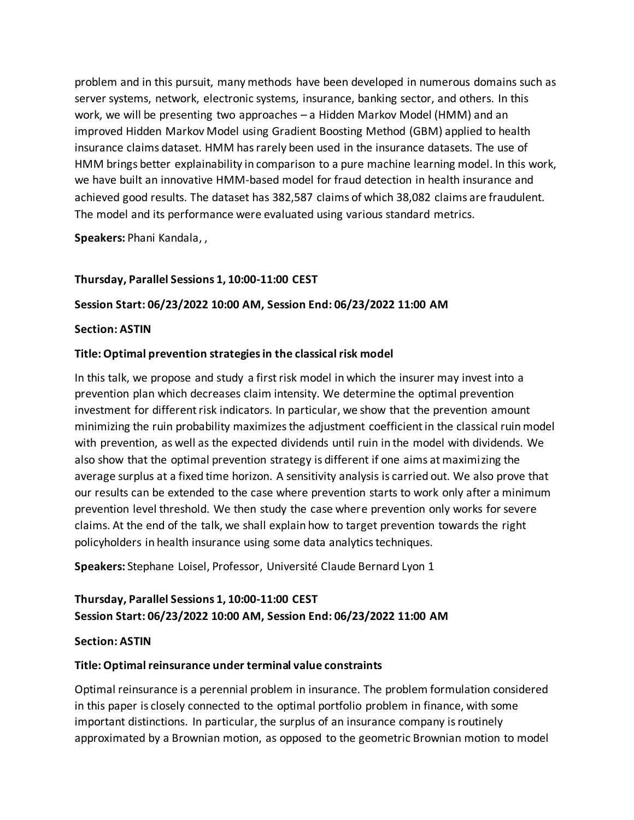problem and in this pursuit, many methods have been developed in numerous domains such as server systems, network, electronic systems, insurance, banking sector, and others. In this work, we will be presenting two approaches – a Hidden Markov Model (HMM) and an improved Hidden Markov Model using Gradient Boosting Method (GBM) applied to health insurance claims dataset. HMM has rarely been used in the insurance datasets. The use of HMM brings better explainability in comparison to a pure machine learning model. In this work, we have built an innovative HMM-based model for fraud detection in health insurance and achieved good results. The dataset has 382,587 claims of which 38,082 claims are fraudulent. The model and its performance were evaluated using various standard metrics.

**Speakers:** Phani Kandala, ,

### **Thursday, Parallel Sessions 1, 10:00-11:00 CEST**

### **Session Start: 06/23/2022 10:00 AM, Session End: 06/23/2022 11:00 AM**

#### **Section: ASTIN**

### **Title: Optimal prevention strategies in the classical risk model**

In this talk, we propose and study a first risk model in which the insurer may invest into a prevention plan which decreases claim intensity. We determine the optimal prevention investment for different risk indicators. In particular, we show that the prevention amount minimizing the ruin probability maximizes the adjustment coefficient in the classical ruin model with prevention, as well as the expected dividends until ruin in the model with dividends. We also show that the optimal prevention strategy is different if one aims at maximizing the average surplus at a fixed time horizon. A sensitivity analysis is carried out. We also prove that our results can be extended to the case where prevention starts to work only after a minimum prevention level threshold. We then study the case where prevention only works for severe claims. At the end of the talk, we shall explain how to target prevention towards the right policyholders in health insurance using some data analytics techniques.

**Speakers:** Stephane Loisel, Professor, Université Claude Bernard Lyon 1

# **Thursday, Parallel Sessions 1, 10:00-11:00 CEST Session Start: 06/23/2022 10:00 AM, Session End: 06/23/2022 11:00 AM**

### **Section: ASTIN**

### **Title: Optimal reinsurance under terminal value constraints**

Optimal reinsurance is a perennial problem in insurance. The problem formulation considered in this paper is closely connected to the optimal portfolio problem in finance, with some important distinctions. In particular, the surplus of an insurance company is routinely approximated by a Brownian motion, as opposed to the geometric Brownian motion to model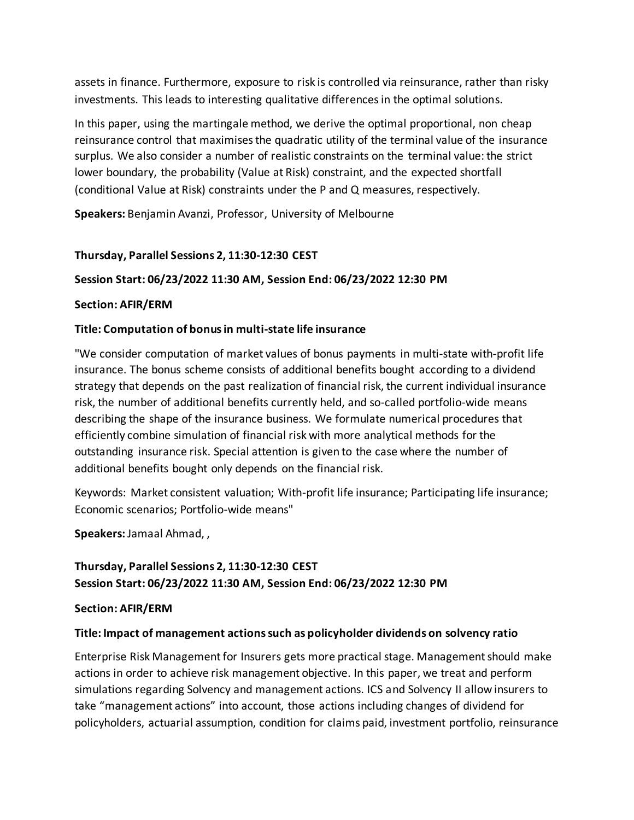assets in finance. Furthermore, exposure to risk is controlled via reinsurance, rather than risky investments. This leads to interesting qualitative differences in the optimal solutions.

In this paper, using the martingale method, we derive the optimal proportional, non cheap reinsurance control that maximises the quadratic utility of the terminal value of the insurance surplus. We also consider a number of realistic constraints on the terminal value: the strict lower boundary, the probability (Value at Risk) constraint, and the expected shortfall (conditional Value at Risk) constraints under the P and Q measures, respectively.

**Speakers:** Benjamin Avanzi, Professor, University of Melbourne

## **Thursday, Parallel Sessions 2, 11:30-12:30 CEST**

### **Session Start: 06/23/2022 11:30 AM, Session End: 06/23/2022 12:30 PM**

### **Section: AFIR/ERM**

### **Title: Computation of bonus in multi-state life insurance**

"We consider computation of market values of bonus payments in multi-state with-profit life insurance. The bonus scheme consists of additional benefits bought according to a dividend strategy that depends on the past realization of financial risk, the current individual insurance risk, the number of additional benefits currently held, and so-called portfolio-wide means describing the shape of the insurance business. We formulate numerical procedures that efficiently combine simulation of financial risk with more analytical methods for the outstanding insurance risk. Special attention is given to the case where the number of additional benefits bought only depends on the financial risk.

Keywords: Market consistent valuation; With-profit life insurance; Participating life insurance; Economic scenarios; Portfolio-wide means"

**Speakers:** Jamaal Ahmad, ,

# **Thursday, Parallel Sessions 2, 11:30-12:30 CEST Session Start: 06/23/2022 11:30 AM, Session End: 06/23/2022 12:30 PM**

### **Section: AFIR/ERM**

### **Title: Impact of management actions such as policyholder dividends on solvency ratio**

Enterprise Risk Management for Insurers gets more practical stage. Management should make actions in order to achieve risk management objective. In this paper, we treat and perform simulations regarding Solvency and management actions. ICS and Solvency II allow insurers to take "management actions" into account, those actions including changes of dividend for policyholders, actuarial assumption, condition for claims paid, investment portfolio, reinsurance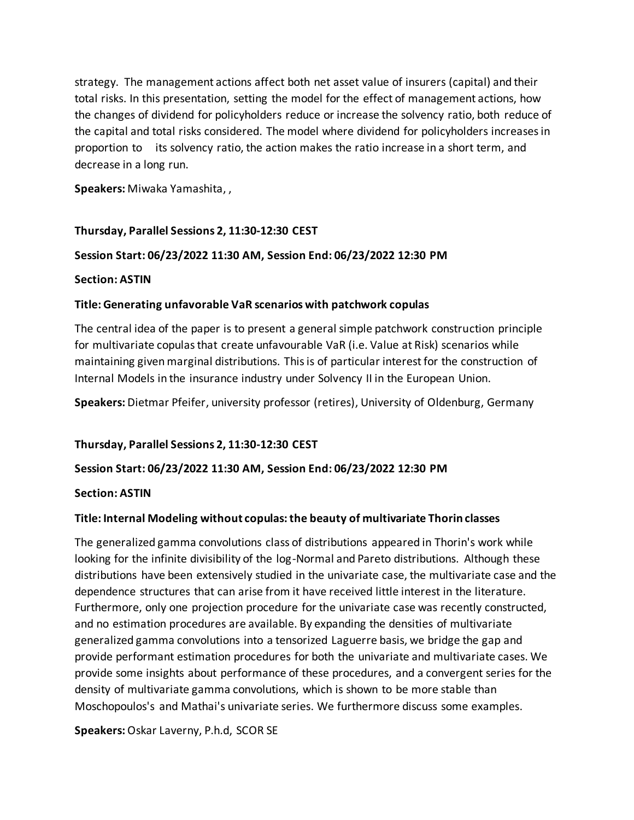strategy. The management actions affect both net asset value of insurers (capital) and their total risks. In this presentation, setting the model for the effect of management actions, how the changes of dividend for policyholders reduce or increase the solvency ratio, both reduce of the capital and total risks considered. The model where dividend for policyholders increases in proportion to its solvency ratio, the action makes the ratio increase in a short term, and decrease in a long run.

**Speakers:** Miwaka Yamashita, ,

### **Thursday, Parallel Sessions 2, 11:30-12:30 CEST**

### **Session Start: 06/23/2022 11:30 AM, Session End: 06/23/2022 12:30 PM**

### **Section: ASTIN**

### **Title: Generating unfavorable VaR scenarios with patchwork copulas**

The central idea of the paper is to present a general simple patchwork construction principle for multivariate copulas that create unfavourable VaR (i.e. Value at Risk) scenarios while maintaining given marginal distributions. This is of particular interest for the construction of Internal Models in the insurance industry under Solvency II in the European Union.

**Speakers:** Dietmar Pfeifer, university professor (retires), University of Oldenburg, Germany

### **Thursday, Parallel Sessions 2, 11:30-12:30 CEST**

### **Session Start: 06/23/2022 11:30 AM, Session End: 06/23/2022 12:30 PM**

### **Section: ASTIN**

### **Title: Internal Modeling without copulas: the beauty of multivariate Thorin classes**

The generalized gamma convolutions class of distributions appeared in Thorin's work while looking for the infinite divisibility of the log-Normal and Pareto distributions. Although these distributions have been extensively studied in the univariate case, the multivariate case and the dependence structures that can arise from it have received little interest in the literature. Furthermore, only one projection procedure for the univariate case was recently constructed, and no estimation procedures are available. By expanding the densities of multivariate generalized gamma convolutions into a tensorized Laguerre basis, we bridge the gap and provide performant estimation procedures for both the univariate and multivariate cases. We provide some insights about performance of these procedures, and a convergent series for the density of multivariate gamma convolutions, which is shown to be more stable than Moschopoulos's and Mathai's univariate series. We furthermore discuss some examples.

**Speakers:** Oskar Laverny, P.h.d, SCOR SE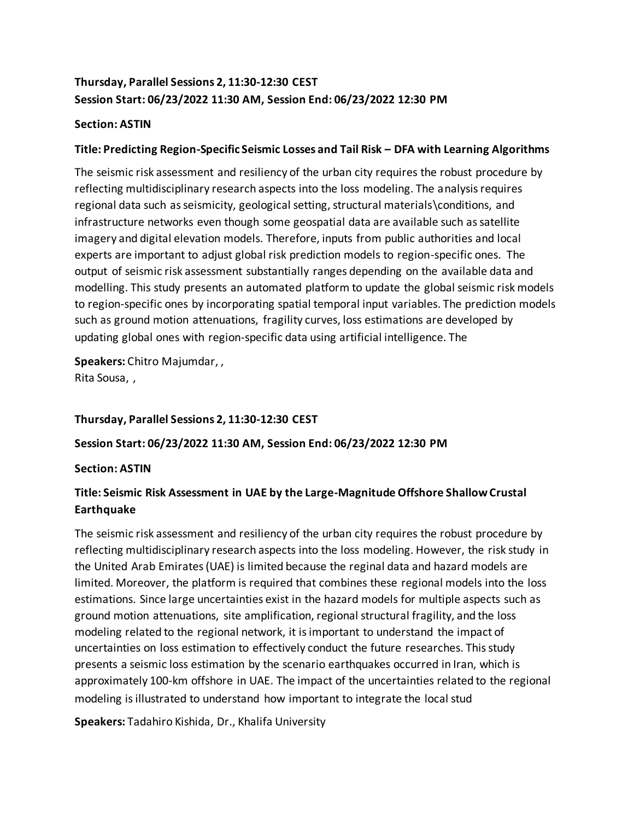# **Thursday, Parallel Sessions 2, 11:30-12:30 CEST Session Start: 06/23/2022 11:30 AM, Session End: 06/23/2022 12:30 PM**

### **Section: ASTIN**

### **Title: Predicting Region-Specific Seismic Losses and Tail Risk – DFA with Learning Algorithms**

The seismic risk assessment and resiliency of the urban city requires the robust procedure by reflecting multidisciplinary research aspects into the loss modeling. The analysis requires regional data such as seismicity, geological setting, structural materials\conditions, and infrastructure networks even though some geospatial data are available such as satellite imagery and digital elevation models. Therefore, inputs from public authorities and local experts are important to adjust global risk prediction models to region-specific ones. The output of seismic risk assessment substantially ranges depending on the available data and modelling. This study presents an automated platform to update the global seismic risk models to region-specific ones by incorporating spatial temporal input variables. The prediction models such as ground motion attenuations, fragility curves, loss estimations are developed by updating global ones with region-specific data using artificial intelligence. The

**Speakers:** Chitro Majumdar, , Rita Sousa, ,

### **Thursday, Parallel Sessions 2, 11:30-12:30 CEST**

### **Session Start: 06/23/2022 11:30 AM, Session End: 06/23/2022 12:30 PM**

### **Section: ASTIN**

# **Title: Seismic Risk Assessment in UAE by the Large-Magnitude Offshore Shallow Crustal Earthquake**

The seismic risk assessment and resiliency of the urban city requires the robust procedure by reflecting multidisciplinary research aspects into the loss modeling. However, the risk study in the United Arab Emirates (UAE) is limited because the reginal data and hazard models are limited. Moreover, the platform is required that combines these regional models into the loss estimations. Since large uncertainties exist in the hazard models for multiple aspects such as ground motion attenuations, site amplification, regional structural fragility, and the loss modeling related to the regional network, it is important to understand the impact of uncertainties on loss estimation to effectively conduct the future researches. This study presents a seismic loss estimation by the scenario earthquakes occurred in Iran, which is approximately 100-km offshore in UAE. The impact of the uncertainties related to the regional modeling is illustrated to understand how important to integrate the local stud

**Speakers:** Tadahiro Kishida, Dr., Khalifa University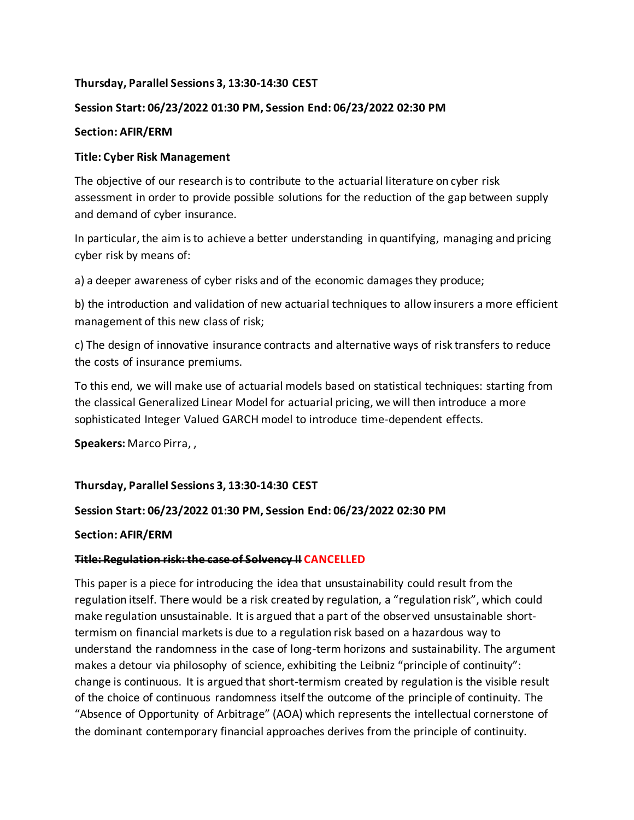### **Thursday, Parallel Sessions 3, 13:30-14:30 CEST**

### **Session Start: 06/23/2022 01:30 PM, Session End: 06/23/2022 02:30 PM**

### **Section: AFIR/ERM**

### **Title: Cyber Risk Management**

The objective of our research is to contribute to the actuarial literature on cyber risk assessment in order to provide possible solutions for the reduction of the gap between supply and demand of cyber insurance.

In particular, the aim is to achieve a better understanding in quantifying, managing and pricing cyber risk by means of:

a) a deeper awareness of cyber risks and of the economic damages they produce;

b) the introduction and validation of new actuarial techniques to allow insurers a more efficient management of this new class of risk;

c) The design of innovative insurance contracts and alternative ways of risk transfers to reduce the costs of insurance premiums.

To this end, we will make use of actuarial models based on statistical techniques: starting from the classical Generalized Linear Model for actuarial pricing, we will then introduce a more sophisticated Integer Valued GARCH model to introduce time-dependent effects.

**Speakers:** Marco Pirra, ,

### **Thursday, Parallel Sessions 3, 13:30-14:30 CEST**

### **Session Start: 06/23/2022 01:30 PM, Session End: 06/23/2022 02:30 PM**

### **Section: AFIR/ERM**

### **Title: Regulation risk: the case of Solvency II CANCELLED**

This paper is a piece for introducing the idea that unsustainability could result from the regulation itself. There would be a risk created by regulation, a "regulation risk", which could make regulation unsustainable. It is argued that a part of the observed unsustainable shorttermism on financial markets is due to a regulation risk based on a hazardous way to understand the randomness in the case of long-term horizons and sustainability. The argument makes a detour via philosophy of science, exhibiting the Leibniz "principle of continuity": change is continuous. It is argued that short-termism created by regulation is the visible result of the choice of continuous randomness itself the outcome of the principle of continuity. The "Absence of Opportunity of Arbitrage" (AOA) which represents the intellectual cornerstone of the dominant contemporary financial approaches derives from the principle of continuity.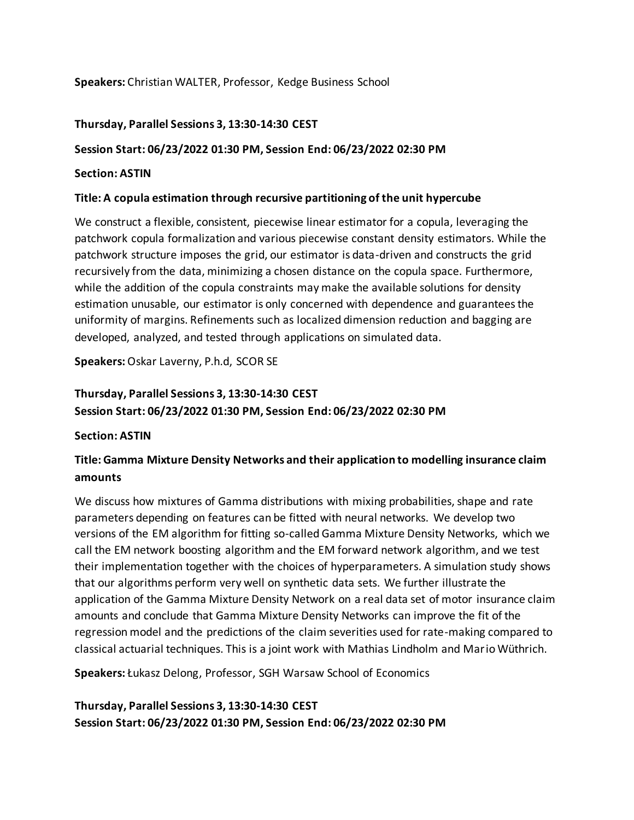### **Speakers:** Christian WALTER, Professor, Kedge Business School

### **Thursday, Parallel Sessions 3, 13:30-14:30 CEST**

### **Session Start: 06/23/2022 01:30 PM, Session End: 06/23/2022 02:30 PM**

### **Section: ASTIN**

### **Title: A copula estimation through recursive partitioning of the unit hypercube**

We construct a flexible, consistent, piecewise linear estimator for a copula, leveraging the patchwork copula formalization and various piecewise constant density estimators. While the patchwork structure imposes the grid, our estimator is data-driven and constructs the grid recursively from the data, minimizing a chosen distance on the copula space. Furthermore, while the addition of the copula constraints may make the available solutions for density estimation unusable, our estimator is only concerned with dependence and guarantees the uniformity of margins. Refinements such as localized dimension reduction and bagging are developed, analyzed, and tested through applications on simulated data.

**Speakers:** Oskar Laverny, P.h.d, SCOR SE

# **Thursday, Parallel Sessions 3, 13:30-14:30 CEST Session Start: 06/23/2022 01:30 PM, Session End: 06/23/2022 02:30 PM**

### **Section: ASTIN**

# **Title: Gamma Mixture Density Networks and their application to modelling insurance claim amounts**

We discuss how mixtures of Gamma distributions with mixing probabilities, shape and rate parameters depending on features can be fitted with neural networks. We develop two versions of the EM algorithm for fitting so-called Gamma Mixture Density Networks, which we call the EM network boosting algorithm and the EM forward network algorithm, and we test their implementation together with the choices of hyperparameters. A simulation study shows that our algorithms perform very well on synthetic data sets. We further illustrate the application of the Gamma Mixture Density Network on a real data set of motor insurance claim amounts and conclude that Gamma Mixture Density Networks can improve the fit of the regression model and the predictions of the claim severities used for rate-making compared to classical actuarial techniques. This is a joint work with Mathias Lindholm and Mario Wüthrich.

**Speakers:** Łukasz Delong, Professor, SGH Warsaw School of Economics

**Thursday, Parallel Sessions 3, 13:30-14:30 CEST Session Start: 06/23/2022 01:30 PM, Session End: 06/23/2022 02:30 PM**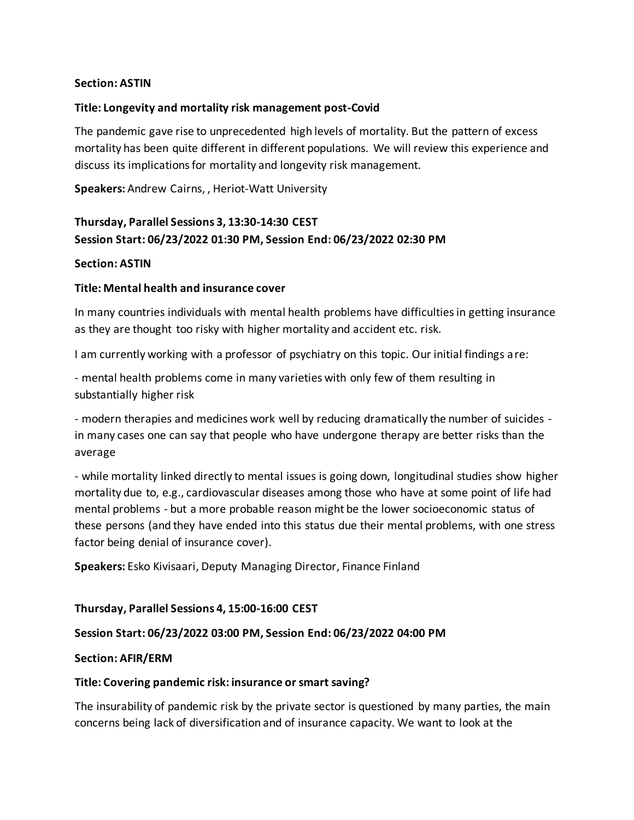### **Section: ASTIN**

### **Title: Longevity and mortality risk management post-Covid**

The pandemic gave rise to unprecedented high levels of mortality. But the pattern of excess mortality has been quite different in different populations. We will review this experience and discuss its implications for mortality and longevity risk management.

**Speakers:** Andrew Cairns, , Heriot-Watt University

## **Thursday, Parallel Sessions 3, 13:30-14:30 CEST Session Start: 06/23/2022 01:30 PM, Session End: 06/23/2022 02:30 PM**

### **Section: ASTIN**

### **Title: Mental health and insurance cover**

In many countries individuals with mental health problems have difficulties in getting insurance as they are thought too risky with higher mortality and accident etc. risk.

I am currently working with a professor of psychiatry on this topic. Our initial findings are:

- mental health problems come in many varieties with only few of them resulting in substantially higher risk

- modern therapies and medicines work well by reducing dramatically the number of suicides in many cases one can say that people who have undergone therapy are better risks than the average

- while mortality linked directly to mental issues is going down, longitudinal studies show higher mortality due to, e.g., cardiovascular diseases among those who have at some point of life had mental problems - but a more probable reason might be the lower socioeconomic status of these persons (and they have ended into this status due their mental problems, with one stress factor being denial of insurance cover).

**Speakers:** Esko Kivisaari, Deputy Managing Director, Finance Finland

### **Thursday, Parallel Sessions 4, 15:00-16:00 CEST**

### **Session Start: 06/23/2022 03:00 PM, Session End: 06/23/2022 04:00 PM**

### **Section: AFIR/ERM**

### **Title: Covering pandemic risk: insurance or smart saving?**

The insurability of pandemic risk by the private sector is questioned by many parties, the main concerns being lack of diversification and of insurance capacity. We want to look at the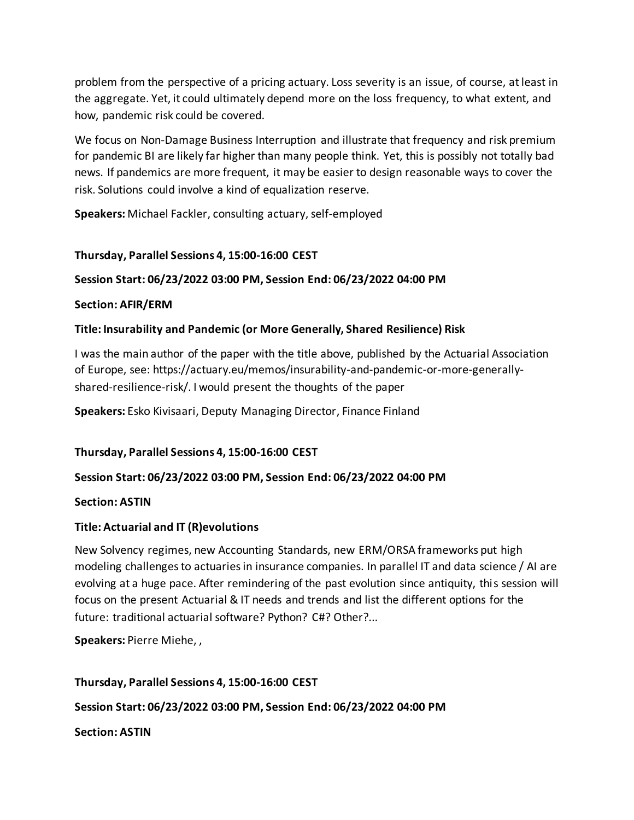problem from the perspective of a pricing actuary. Loss severity is an issue, of course, at least in the aggregate. Yet, it could ultimately depend more on the loss frequency, to what extent, and how, pandemic risk could be covered.

We focus on Non-Damage Business Interruption and illustrate that frequency and risk premium for pandemic BI are likely far higher than many people think. Yet, this is possibly not totally bad news. If pandemics are more frequent, it may be easier to design reasonable ways to cover the risk. Solutions could involve a kind of equalization reserve.

**Speakers:** Michael Fackler, consulting actuary, self-employed

# **Thursday, Parallel Sessions 4, 15:00-16:00 CEST**

## **Session Start: 06/23/2022 03:00 PM, Session End: 06/23/2022 04:00 PM**

### **Section: AFIR/ERM**

### **Title: Insurability and Pandemic (or More Generally, Shared Resilience) Risk**

I was the main author of the paper with the title above, published by the Actuarial Association of Europe, see: https://actuary.eu/memos/insurability-and-pandemic-or-more-generallyshared-resilience-risk/. I would present the thoughts of the paper

**Speakers:** Esko Kivisaari, Deputy Managing Director, Finance Finland

**Thursday, Parallel Sessions 4, 15:00-16:00 CEST**

### **Session Start: 06/23/2022 03:00 PM, Session End: 06/23/2022 04:00 PM**

### **Section: ASTIN**

### **Title: Actuarial and IT (R)evolutions**

New Solvency regimes, new Accounting Standards, new ERM/ORSA frameworks put high modeling challenges to actuaries in insurance companies. In parallel IT and data science / AI are evolving at a huge pace. After remindering of the past evolution since antiquity, this session will focus on the present Actuarial & IT needs and trends and list the different options for the future: traditional actuarial software? Python? C#? Other?...

**Speakers:** Pierre Miehe, ,

### **Thursday, Parallel Sessions 4, 15:00-16:00 CEST**

**Session Start: 06/23/2022 03:00 PM, Session End: 06/23/2022 04:00 PM**

**Section: ASTIN**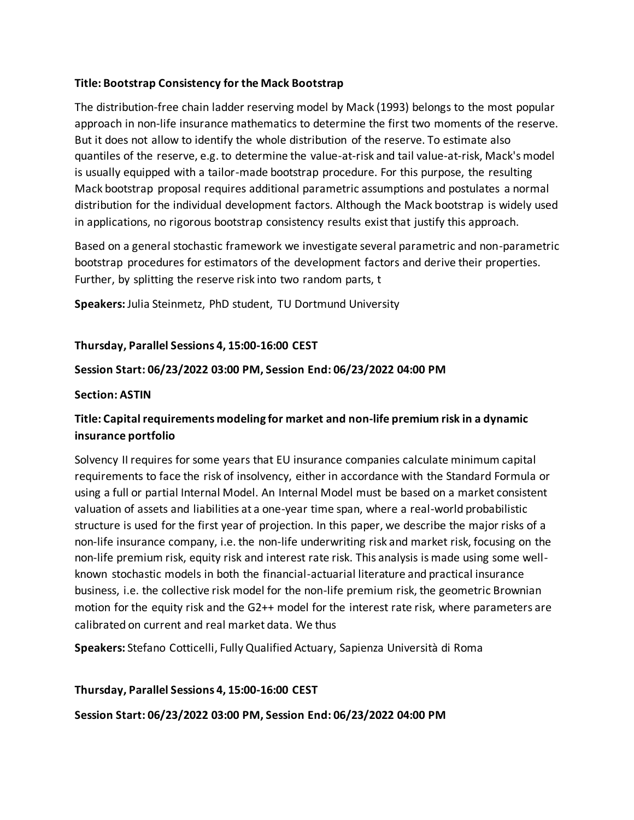### **Title: Bootstrap Consistency for the Mack Bootstrap**

The distribution-free chain ladder reserving model by Mack (1993) belongs to the most popular approach in non-life insurance mathematics to determine the first two moments of the reserve. But it does not allow to identify the whole distribution of the reserve. To estimate also quantiles of the reserve, e.g. to determine the value-at-risk and tail value-at-risk, Mack's model is usually equipped with a tailor-made bootstrap procedure. For this purpose, the resulting Mack bootstrap proposal requires additional parametric assumptions and postulates a normal distribution for the individual development factors. Although the Mack bootstrap is widely used in applications, no rigorous bootstrap consistency results exist that justify this approach.

Based on a general stochastic framework we investigate several parametric and non-parametric bootstrap procedures for estimators of the development factors and derive their properties. Further, by splitting the reserve risk into two random parts, t

**Speakers:** Julia Steinmetz, PhD student, TU Dortmund University

### **Thursday, Parallel Sessions 4, 15:00-16:00 CEST**

### **Session Start: 06/23/2022 03:00 PM, Session End: 06/23/2022 04:00 PM**

### **Section: ASTIN**

# **Title: Capital requirements modeling for market and non-life premium risk in a dynamic insurance portfolio**

Solvency II requires for some years that EU insurance companies calculate minimum capital requirements to face the risk of insolvency, either in accordance with the Standard Formula or using a full or partial Internal Model. An Internal Model must be based on a market consistent valuation of assets and liabilities at a one-year time span, where a real-world probabilistic structure is used for the first year of projection. In this paper, we describe the major risks of a non-life insurance company, i.e. the non-life underwriting risk and market risk, focusing on the non-life premium risk, equity risk and interest rate risk. This analysis is made using some wellknown stochastic models in both the financial-actuarial literature and practical insurance business, i.e. the collective risk model for the non-life premium risk, the geometric Brownian motion for the equity risk and the G2++ model for the interest rate risk, where parameters are calibrated on current and real market data. We thus

**Speakers:** Stefano Cotticelli, Fully Qualified Actuary, Sapienza Università di Roma

### **Thursday, Parallel Sessions 4, 15:00-16:00 CEST**

### **Session Start: 06/23/2022 03:00 PM, Session End: 06/23/2022 04:00 PM**